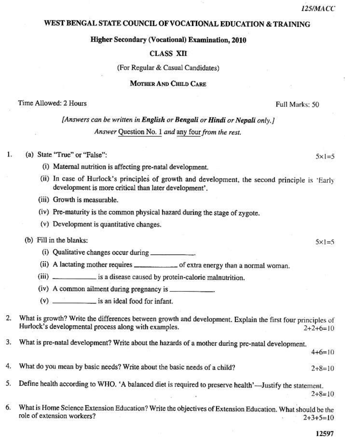What is pre-natal development? Write about the hazards of a mother during pre-natal development. 3.  $4+6=10$ 4. What do you mean by basic needs? Write about the basic needs of a child?  $2+8=10$ Define health according to WHO. 'A balanced diet is required to preserve health'—Justify the statement. 5.  $2+8=10$ 6. What is Home Science Extension Education? Write the objectives of Extension Education. What should be the role of extension workers?

#### 12597

 $2+3+5=10$ 

WEST BENGAL STATE COUNCIL OF VOCATIONAL EDUCATION & TRAINING

**Higher Secondary (Vocational) Examination, 2010** 

#### **CLASS XII**

(For Regular & Casual Candidates)

#### **MOTHER AND CHILD CARE**

#### Time Allowed: 2 Hours

# [Answers can be written in English or Bengali or Hindi or Nepali only.] Answer Question No. 1 and any four from the rest.

#### Τ. (a) State "True" or "False":

- (i) Maternal nutrition is affecting pre-natal development.
- (ii) In case of Hurlock's principles of growth and development, the second principle is 'Early development is more critical than later development'.
- (iii) Growth is measurable.
- (iv) Pre-maturity is the common physical hazard during the stage of zygote.
- (v) Development is quantitative changes.

#### (b) Fill in the blanks:

- 
- (ii) A lactating mother requires \_\_\_\_\_\_\_\_\_\_\_\_\_\_\_ of extra energy than a normal woman.
- (iii) \_\_\_\_\_\_\_\_\_\_\_\_\_\_\_\_ is a disease caused by protein-calorie malnutrition.
- (iv) A common ailment during pregnancy is \_\_\_\_\_\_\_\_\_
- (v) \_\_\_\_\_\_\_\_\_\_\_\_\_\_\_\_\_ is an ideal food for infant.
- What is growth? Write the differences between growth and development. Explain the first four principles of  $\overline{2}$ . Hurlock's developmental process along with examples.  $2+2+6=10$

125/MACC

#### Full Marks: 50

 $5x1=5$ 

 $5x1=5$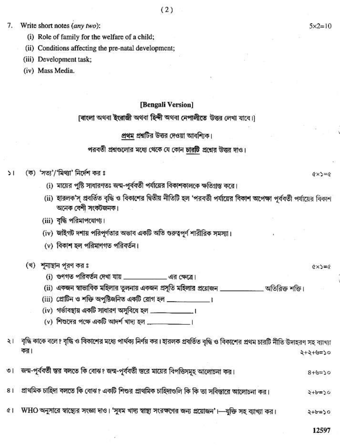Write short notes (any two): 7.

- (i) Role of family for the welfare of a child;
- (ii) Conditions affecting the pre-natal development;
- (iii) Development task;
- (iv) Mass Media.

#### [Bengali Version]

## (বাংলা অথবা ইংরাজী অথবা হিন্দী অথবা নেপালীতে উত্তর লেখা যাবে।)

#### প্রথম প্রশ্নটির উত্তর দেওয়া আবশ্যিক।

### পরবর্তী প্রশ্নগুলোর মধ্যে থেকে যে কোন চারটি প্রশ্নের উত্তর দাও।

- (ক) 'সত্য'/'মিথ্যা' নির্দেশ কর ঃ  $\geq$ 
	- (i) মায়ের পুষ্টি সাধারণতঃ জন্ম-পূর্ববর্তী পর্যায়ের বিকাশকালকে ক্ষতিগ্রস্ত করে।
	- (ii) হারলক'স প্রবর্তিত বৃদ্ধি ও বিকাশের দ্বিতীয় নীতিটি হল 'পরবর্তী পর্যায়ের বিকাশ অপেক্ষা পূর্ববর্তী পর্যায়ের বিকাশ অনেক বেশী সংকটজনক।
	- $(iii)$  বৃদ্ধি পরিমাপযোগ্য।
	- (iv) জাইগট দশায় পরিপূর্ণতার অভাব একটি অতি গুরুত্বপূর্ণ শারীরিক সমস্যা।
	- (v) বিকাশ হল পরিমাণগত পরিবর্তন।
	- (খ) শূন্যস্থান পুরণ কর ঃ
		- (i) গুণগত পরিবর্তন দেখা যায় \_\_\_\_\_\_\_\_\_\_\_\_\_\_\_\_\_\_ এর ক্ষেত্রে।
		- (ii) একজন স্বাভাবিক মহিলার তুলনায় একজন প্রসৃতি মহিলার প্রয়োজন **[www.common and all all of the filt**
		- (iii) প্রোটিন ও শক্তি অপুষ্টিজনিত একটি রোগ হল \_\_\_\_\_\_\_\_\_\_\_\_\_\_\_।
		- (iv) গৰ্ভাবস্থায় একটি সাধারণ অসবিধে হল \_\_\_\_\_\_\_\_\_\_\_\_\_\_\_\_\_\_\_\_\_\_
		- $(v)$  শিশুদের পক্ষে একটি আদর্শ খাদ্য হল \_\_\_\_\_\_\_\_\_
- বৃদ্ধি কাকে বলে ? বৃদ্ধি ও বিকাশের মধ্যে পার্থক্য নির্ণয় কর। হারলক প্রবর্তিত বৃদ্ধি ও বিকাশের প্রথম চারটি নীতি উদাহরণ সহ ব্যাখ্যা ২। কর। 2+2+6=20
- জন্ম-পূর্ববর্তী স্তর বলতে কি বোঝ? জন্ম-পূর্ববর্তী স্তরে মায়ের বিপত্তিসমূহ আলোচনা কর।  $\circ$ 1  $02 = 8 + 8$
- প্রাথমিক চাহিদা বলতে কি বোঝ? একটি শিশুর প্রাথমিক চাহিদাণ্ডলি কি কি তা সবিস্তারে আলোচনা কর।  $81$  $2 + b = 50$
- WHO অনুসারে স্বাস্থ্যের সংজ্ঞা দাও। 'সুষম খাদ্য স্বাস্থ্য সংরক্ষণের জন্য প্রয়োজন'।—যুক্তি সহ ব্যাখ্যা কর।  $\alpha$  $2 + b = 50$

 $Q \times 3 = Q$ 

 $(x \times y) = 0$